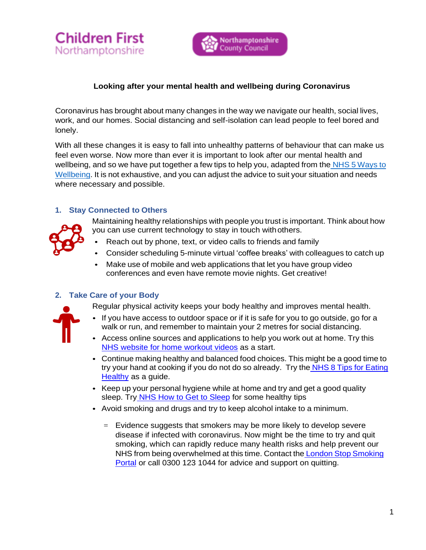



## **Looking after your mental health and wellbeing during Coronavirus**

Coronavirus has brought about many changes in the way we navigate our health, social lives, work, and our homes. Social distancing and self-isolation can lead people to feel bored and lonely.

With all these changes it is easy to fall into unhealthy patterns of behaviour that can make us feel even worse. Now more than ever it is important to look after our mental health and wellbeing, and so we have put together a few tips to help you, adapted from the NHS 5 Ways to Wellbeing. It is not exhaustive, and you can adjust the advice to suit your situation and needs where necessary and possible.

#### **1. Stay Connected to Others**



Maintaining healthy relationships with people you trust is important. Think about how you can use current technology to stay in touch withothers.

- Reach out by phone, text, or video calls to friends and family
- Consider scheduling 5-minute virtual 'coffee breaks' with colleagues to catch up
- Make use of mobile and web applications that let you have group video conferences and even have remote movie nights. Get creative!

### **2. Take Care of your Body**

Regular physical activity keeps your body healthy and improves mental health.

- If you have access to outdoor space or if it is safe for you to go outside, go for a walk or run, and remember to maintain your 2 metres for social distancing.
- Access online sources and applications to help you work out at home. Try this NHS website for home workout videos as a start.
- Continue making healthy and balanced food choices. This might be a good time to try your hand at cooking if you do not do so already. Try the NHS 8 Tips for Eating Healthy as a guide.
- Keep up your personal hygiene while at home and try and get a good quality sleep. Try NHS How to Get to Sleep for some healthy tips
- Avoid smoking and drugs and try to keep alcohol intake to a minimum.
	- $=$  Evidence suggests that smokers may be more likely to develop severe disease if infected with coronavirus. Now might be the time to try and quit smoking, which can rapidly reduce many health risks and help prevent our NHS from being overwhelmed at this time. Contact the London Stop Smoking Portal or call 0300 123 1044 for advice and support on quitting.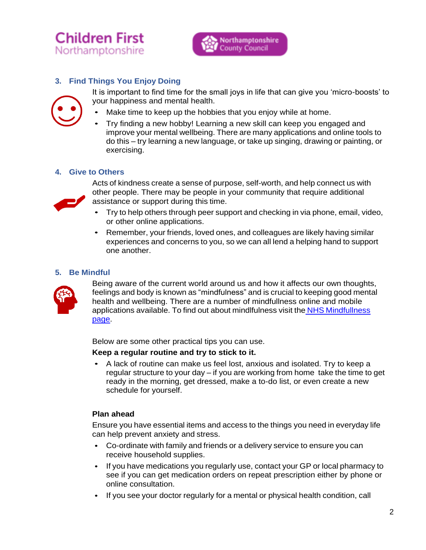



## **3. Find Things You Enjoy Doing**



- It is important to find time for the small joys in life that can give you 'micro-boosts' to your happiness and mental health.
- Make time to keep up the hobbies that you enjoy while at home.
- Try finding a new hobby! Learning a new skill can keep you engaged and improve your mental wellbeing. There are many applications and online tools to do this – try learning a new language, or take up singing, drawing or painting, or exercising.

### **4. Give to Others**



Acts of kindness create a sense of purpose, self-worth, and help connect us with other people. There may be people in your community that require additional assistance or support during this time.

- Try to help others through peer support and checking in via phone, email, video, or other online applications.
- Remember, your friends, loved ones, and colleagues are likely having similar experiences and concerns to you, so we can all lend a helping hand to support one another.

### **5. Be Mindful**



Being aware of the current world around us and how it affects our own thoughts, feelings and body is known as "mindfulness" and is crucial to keeping good mental health and wellbeing. There are a number of mindfullness online and mobile applications available. To find out about mindlfulness visit the NHS Mindfullness page.

Below are some other practical tips you can use.

### **Keep a regular routine and try to stick to it.**

• A lack of routine can make us feel lost, anxious and isolated. Try to keep a regular structure to your day – if you are working from home take the time to get ready in the morning, get dressed, make a to-do list, or even create a new schedule for yourself.

### **Plan ahead**

Ensure you have essential items and access to the things you need in everyday life can help prevent anxiety and stress.

- Co-ordinate with family and friends or a delivery service to ensure you can receive household supplies.
- If you have medications you regularly use, contact your GP or local pharmacy to see if you can get medication orders on repeat prescription either by phone or online consultation.
- If you see your doctor regularly for a mental or physical health condition, call